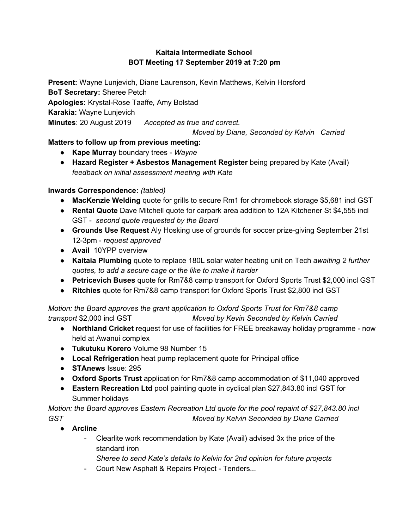## **Kaitaia Intermediate School BOT Meeting 17 September 2019 at 7:20 pm**

**Present:** Wayne Lunjevich, Diane Laurenson, Kevin Matthews, Kelvin Horsford **BoT Secretary:** Sheree Petch **Apologies:** Krystal-Rose Taaffe*,* Amy Bolstad **Karakia:** Wayne Lunjevich **Minutes**: 20 August 2019 *Accepted as true and correct.*

*Moved by Diane, Seconded by Kelvin Carried*

# **Matters to follow up from previous meeting:**

- **● Kape Murray** boundary trees *Wayne*
- **● Hazard Register + Asbestos Management Register** being prepared by Kate (Avail) *feedback on initial assessment meeting with Kate*

# **Inwards Correspondence:** *(tabled)*

- **● MacKenzie Welding** quote for grills to secure Rm1 for chromebook storage \$5,681 incl GST
- **Rental Quote** Dave Mitchell quote for carpark area addition to 12A Kitchener St \$4,555 incl GST - *second quote requested by the Board*
- **● Grounds Use Request** Aly Hosking use of grounds for soccer prize-giving September 21st 12-3pm - *request approved*
- **● Avail** 10YPP overview
- **● Kaitaia Plumbing** quote to replace 180L solar water heating unit on Tech *awaiting 2 further quotes, to add a secure cage or the like to make it harder*
- **● Petricevich Buses** quote for Rm7&8 camp transport for Oxford Sports Trust \$2,000 incl GST
- **● Ritchies** quote for Rm7&8 camp transport for Oxford Sports Trust \$2,800 incl GST

*Motion: the Board approves the grant application to Oxford Sports Trust for Rm7&8 camp transport* \$2,000 incl GST *Moved by Kevin Seconded by Kelvin Carried*

- **● Northland Cricket** request for use of facilities for FREE breakaway holiday programme now held at Awanui complex
- **Tukutuku Korero** Volume 98 Number 15
- **● Local Refrigeration** heat pump replacement quote for Principal office
- **STAnews** Issue: 295
- **● Oxford Sports Trust** application for Rm7&8 camp accommodation of \$11,040 approved
- **● Eastern Recreation Ltd** pool painting quote in cyclical plan \$27,843.80 incl GST for Summer holidays

*Motion: the Board approves Eastern Recreation Ltd quote for the pool repaint of \$27,843.80 incl GST Moved by Kelvin Seconded by Diane Carried*

- **● Arcline**
	- Clearlite work recommendation by Kate (Avail) advised 3x the price of the standard iron
		- *Sheree to send Kate's details to Kelvin for 2nd opinion for future projects*
	- Court New Asphalt & Repairs Project Tenders...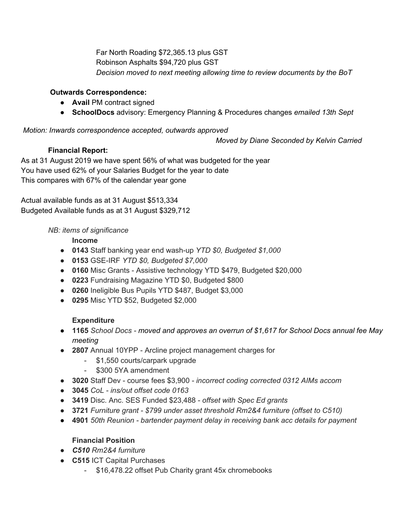Far North Roading \$72,365.13 plus GST Robinson Asphalts \$94,720 plus GST *Decision moved to next meeting allowing time to review documents by the BoT*

## **Outwards Correspondence:**

- **● Avail** PM contract signed
- **● SchoolDocs** advisory: Emergency Planning & Procedures changes *emailed 13th Sept*

### *Motion: Inwards correspondence accepted, outwards approved*

*Moved by Diane Seconded by Kelvin Carried*

As at 31 August 2019 we have spent 56% of what was budgeted for the year You have used 62% of your Salaries Budget for the year to date This compares with 67% of the calendar year gone

Actual available funds as at 31 August \$513,334 Budgeted Available funds as at 31 August \$329,712

### *NB: items of significance*

**Income**

**Financial Report:**

- **● 0143** Staff banking year end wash-up *YTD \$0, Budgeted \$1,000*
- **● 0153** GSE-IRF *YTD \$0, Budgeted \$7,000*
- **● 0160** Misc Grants Assistive technology YTD \$479, Budgeted \$20,000
- **● 0223** Fundraising Magazine YTD \$0, Budgeted \$800
- **● 0260** Ineligible Bus Pupils YTD \$487, Budget \$3,000
- **● 0295** Misc YTD \$52, Budgeted \$2,000

### **Expenditure**

- *●* **1165** *School Docs - moved and approves an overrun of \$1,617 for School Docs annual fee May meeting*
- **● 2807** Annual 10YPP Arcline project management charges for
	- \$1,550 courts/carpark upgrade
	- \$300 5YA amendment
- **● 3020** Staff Dev course fees \$3,900 *- incorrect coding corrected 0312 AIMs accom*
- *●* **3045** *CoL - ins/out offset code 0163*
- **3419** Disc. Anc. SES Funded \$23,488 *offset with Spec Ed grants*
- *●* **3721** *Furniture grant - \$799 under asset threshold Rm2&4 furniture (offset to C510)*
- *●* **4901** *50th Reunion - bartender payment delay in receiving bank acc details for payment*

### **Financial Position**

- *● C510 Rm2&4 furniture*
- **● C515** ICT Capital Purchases
	- \$16,478.22 offset Pub Charity grant 45x chromebooks